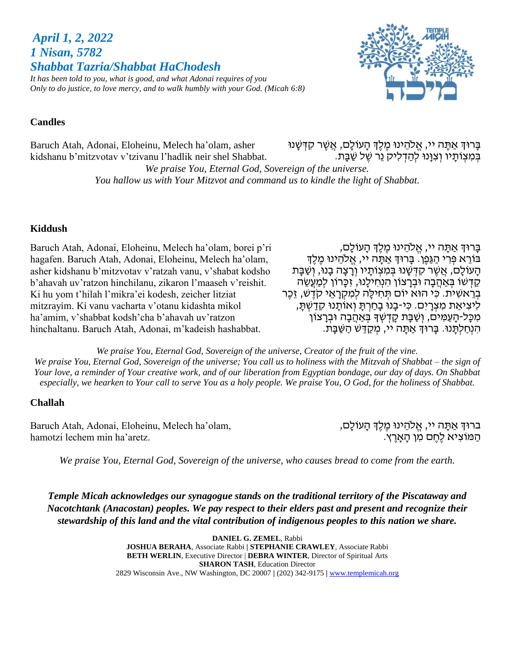*April 1, 2, 2022 1 Nisan, 5782 Shabbat Tazria/Shabbat HaChodesh It has been told to you, what is good, and what Adonai requires of you Only to do justice, to love mercy, and to walk humbly with your God. (Micah 6:8)*



### **Candles**

Baruch Atah, Adonai, Eloheinu, Melech ha'olam, asher kidshanu b'mitzvotav v'tzivanu l'hadlik neir shel Shabbat. ּבְּרוּדְ אַתָּה יי, אֱלֹהֵינוּ מֶלֶדְ הָעוֹלָם, אֲשֶׁר קִדְּשָׁנוּ ֹבְּמִצְוֹתָיו וְצִוָּנוּ לְהַדְלִיק נֵר שֶׁל שַׁבָּת.

*We praise You, Eternal God, Sovereign of the universe. You hallow us with Your Mitzvot and command us to kindle the light of Shabbat.*

### **Kiddush**

Baruch Atah, Adonai, Eloheinu, Melech ha'olam, borei p'ri hagafen. Baruch Atah, Adonai, Eloheinu, Melech ha'olam, asher kidshanu b'mitzvotav v'ratzah vanu, v'shabat kodsho b'ahavah uv'ratzon hinchilanu, zikaron l'maaseh v'reishit. Ki hu yom t'hilah l'mikra'ei kodesh, zeicher litziat mitzrayim. Ki vanu vacharta v'otanu kidashta mikol ha'amim, v'shabbat kodsh'cha b'ahavah uv'ratzon hinchaltanu. Baruch Atah, Adonai, m'kadeish hashabbat.

בָּרוּדְ אַתָּה יי, אֱלֹהֵינוּ מֵלֵדְ הָעוֹלָם, בּוֹרֵא פִּרְי הַגַּפֵן. בַּרוּךְ אַתָּה יי, אֱלֹהֵינוּ מֶלֶךְ הָעֹוֹלָם, אֲשֶׁר קִדְּשָׁנוּ בִּמִצְוֹתָיו וְרָצָה בָנוּ, וְשַׁבָּת קַדְּשׁוֹ בְּאַהֲבָה וּבְרַצוֹן הִנְחִילֵנוּ, זִכֲרוֹן לִמַעֲשֶׂה בְּרֵאשִׁית. כִּי הוּא יוֹם תְּחִילַה לִמְקְרַאֵי קֹדֵשׁ, זֶכֶר לִיצִיאַת מִצְרָיִם. כִּי-בָנוּ בָחַרְתַּ וְאוֹתֲנוּ קִדַשְׁתַּ, מִכָּל-הָעַמִּים, וְשַׁבָּת קָדְשְׁךָּ בְּאַהֲבָה וּבְרָצוֹן הִנְחַלְתָּנוּ. בָּרוּךְ אַתָּה יי, מִקַדֵּשׁ הַשַּׁבַּת.

*We praise You, Eternal God, Sovereign of the universe, Creator of the fruit of the vine. We praise You, Eternal God, Sovereign of the universe; You call us to holiness with the Mitzvah of Shabbat – the sign of Your love, a reminder of Your creative work, and of our liberation from Egyptian bondage, our day of days. On Shabbat especially, we hearken to Your call to serve You as a holy people. We praise You, O God, for the holiness of Shabbat.*

### **Challah**

Baruch Atah, Adonai, Eloheinu, Melech ha'olam, hamotzi lechem min ha'aretz.

ברוּךְ אַתָּה יי, אֱלֹהֵינוּ מֶלֶךְ הָעוֹלָם, הַ מֹוצִ יא לֶחֶ ם מִ ן הָּ אָּ רֶ ץ.

*We praise You, Eternal God, Sovereign of the universe, who causes bread to come from the earth.*

*Temple Micah acknowledges our synagogue stands on the traditional territory of the Piscataway and Nacotchtank (Anacostan) peoples. We pay respect to their elders past and present and recognize their stewardship of this land and the vital contribution of indigenous peoples to this nation we share.*

> **DANIEL G. ZEMEL**, Rabbi **JOSHUA BERAHA**, Associate Rabbi **| STEPHANIE CRAWLEY**, Associate Rabbi **BETH WERLIN**, Executive Director | **DEBRA WINTER**, Director of Spiritual Arts **SHARON TASH**, Education Director 2829 Wisconsin Ave., NW Washington, DC 20007 **|** (202) 342-9175 **|** [www.templemicah.org](http://www.templemicah.org/)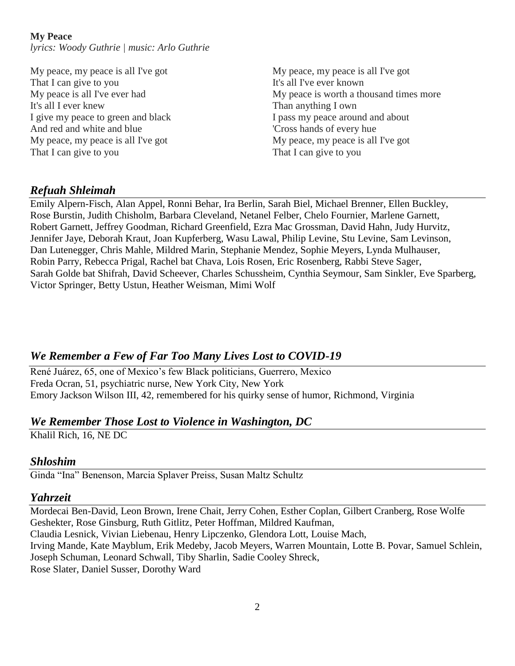### **My Peace**

*lyrics: Woody Guthrie | music: Arlo Guthrie*

My peace, my peace is all I've got That I can give to you My peace is all I've ever had It's all I ever knew I give my peace to green and black And red and white and blue My peace, my peace is all I've got That I can give to you

My peace, my peace is all I've got It's all I've ever known My peace is worth a thousand times more Than anything I own I pass my peace around and about 'Cross hands of every hue My peace, my peace is all I've got That I can give to you

# *Refuah Shleimah*

Emily Alpern-Fisch, Alan Appel, Ronni Behar, Ira Berlin, Sarah Biel, Michael Brenner, Ellen Buckley, Rose Burstin, Judith Chisholm, Barbara Cleveland, Netanel Felber, Chelo Fournier, Marlene Garnett, Robert Garnett, Jeffrey Goodman, Richard Greenfield, Ezra Mac Grossman, David Hahn, Judy Hurvitz, Jennifer Jaye, Deborah Kraut, Joan Kupferberg, Wasu Lawal, Philip Levine, Stu Levine, Sam Levinson, Dan Lutenegger, Chris Mahle, Mildred Marin, Stephanie Mendez, Sophie Meyers, Lynda Mulhauser, Robin Parry, Rebecca Prigal, Rachel bat Chava, Lois Rosen, Eric Rosenberg, Rabbi Steve Sager, Sarah Golde bat Shifrah, David Scheever, Charles Schussheim, Cynthia Seymour, Sam Sinkler, Eve Sparberg, Victor Springer, Betty Ustun, Heather Weisman, Mimi Wolf

# *We Remember a Few of Far Too Many Lives Lost to COVID-19*

René Juárez, 65, one of Mexico's few Black politicians, Guerrero, Mexico Freda Ocran, 51, psychiatric nurse, New York City, New York Emory Jackson Wilson III, 42, remembered for his quirky sense of humor, Richmond, Virginia

## *We Remember Those Lost to Violence in Washington, DC*

Khalil Rich, 16, NE DC

## *Shloshim*

Ginda "Ina" Benenson, Marcia Splaver Preiss, Susan Maltz Schultz

## *Yahrzeit*

Mordecai Ben-David, Leon Brown, Irene Chait, Jerry Cohen, Esther Coplan, Gilbert Cranberg, Rose Wolfe Geshekter, Rose Ginsburg, Ruth Gitlitz, Peter Hoffman, Mildred Kaufman, Claudia Lesnick, Vivian Liebenau, Henry Lipczenko, Glendora Lott, Louise Mach, Irving Mande, Kate Mayblum, Erik Medeby, Jacob Meyers, Warren Mountain, Lotte B. Povar, Samuel Schlein, Joseph Schuman, Leonard Schwall, Tiby Sharlin, Sadie Cooley Shreck, Rose Slater, Daniel Susser, Dorothy Ward